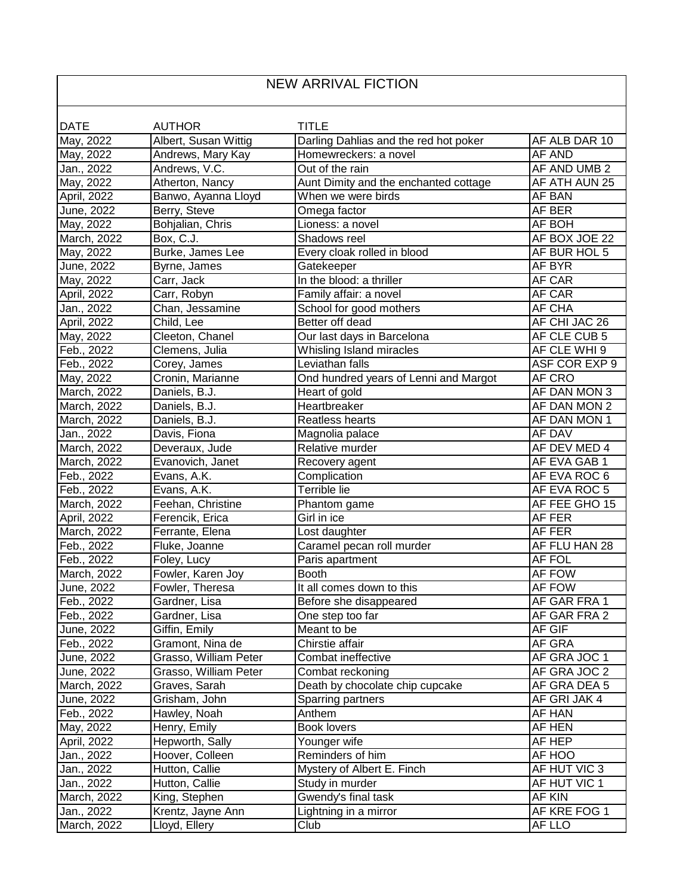## NEW ARRIVAL FICTION

 $\overline{\phantom{a}}$ 

| <b>DATE</b> | <b>AUTHOR</b>         | <b>TITLE</b>                          |               |
|-------------|-----------------------|---------------------------------------|---------------|
| May, 2022   | Albert, Susan Wittig  | Darling Dahlias and the red hot poker | AF ALB DAR 10 |
| May, 2022   | Andrews, Mary Kay     | Homewreckers: a novel                 | <b>AF AND</b> |
| Jan., 2022  | Andrews, V.C.         | Out of the rain                       | AF AND UMB 2  |
| May, 2022   | Atherton, Nancy       | Aunt Dimity and the enchanted cottage | AF ATH AUN 25 |
| April, 2022 | Banwo, Ayanna Lloyd   | When we were birds                    | AF BAN        |
| June, 2022  | Berry, Steve          | Omega factor                          | AF BER        |
| May, 2022   | Bohjalian, Chris      | Lioness: a novel                      | AF BOH        |
| March, 2022 | Box, C.J.             | Shadows reel                          | AF BOX JOE 22 |
| May, 2022   | Burke, James Lee      | Every cloak rolled in blood           | AF BUR HOL 5  |
| June, 2022  | Byrne, James          | Gatekeeper                            | AF BYR        |
| May, 2022   | Carr, Jack            | In the blood: a thriller              | AF CAR        |
| April, 2022 | Carr, Robyn           | Family affair: a novel                | AF CAR        |
| Jan., 2022  | Chan, Jessamine       | School for good mothers               | AF CHA        |
| April, 2022 | Child, Lee            | Better off dead                       | AF CHI JAC 26 |
| May, 2022   | Cleeton, Chanel       | Our last days in Barcelona            | AF CLE CUB 5  |
| Feb., 2022  | Clemens, Julia        | Whisling Island miracles              | AF CLE WHI 9  |
| Feb., 2022  | Corey, James          | Leviathan falls                       | ASF COR EXP 9 |
| May, 2022   | Cronin, Marianne      | Ond hundred years of Lenni and Margot | AF CRO        |
| March, 2022 | Daniels, B.J.         | Heart of gold                         | AF DAN MON 3  |
| March, 2022 | Daniels, B.J.         | Heartbreaker                          | AF DAN MON 2  |
| March, 2022 | Daniels, B.J.         | Reatless hearts                       | AF DAN MON 1  |
| Jan., 2022  | Davis, Fiona          | Magnolia palace                       | AF DAV        |
| March, 2022 | Deveraux, Jude        | Relative murder                       | AF DEV MED 4  |
| March, 2022 | Evanovich, Janet      | Recovery agent                        | AF EVA GAB 1  |
| Feb., 2022  | Evans, A.K.           | Complication                          | AF EVA ROC 6  |
| Feb., 2022  | Evans, A.K.           | Terrible lie                          | AF EVA ROC 5  |
| March, 2022 | Feehan, Christine     | Phantom game                          | AF FEE GHO 15 |
| April, 2022 | Ferencik, Erica       | Girl in ice                           | AF FER        |
| March, 2022 | Ferrante, Elena       | Lost daughter                         | AF FER        |
| Feb., 2022  | Fluke, Joanne         | Caramel pecan roll murder             | AF FLU HAN 28 |
| Feb., 2022  | Foley, Lucy           | Paris apartment                       | AF FOL        |
| March, 2022 | Fowler, Karen Joy     | <b>Booth</b>                          | AF FOW        |
| June, 2022  | Fowler, Theresa       | It all comes down to this             | AF FOW        |
| Feb., 2022  | Gardner, Lisa         | Before she disappeared                | AF GAR FRA 1  |
| Feb., 2022  | Gardner, Lisa         | One step too far                      | AF GAR FRA 2  |
| June, 2022  | Giffin, Emily         | Meant to be                           | AF GIF        |
| Feb., 2022  | Gramont, Nina de      | Chirstie affair                       | AF GRA        |
| June, 2022  | Grasso, William Peter | Combat ineffective                    | AF GRA JOC 1  |
| June, 2022  | Grasso, William Peter | Combat reckoning                      | AF GRA JOC 2  |
| March, 2022 | Graves, Sarah         | Death by chocolate chip cupcake       | AF GRA DEA 5  |
| June, 2022  | Grisham, John         | Sparring partners                     | AF GRI JAK 4  |
| Feb., 2022  | Hawley, Noah          | Anthem                                | AF HAN        |
| May, 2022   | Henry, Emily          | <b>Book lovers</b>                    | AF HEN        |
| April, 2022 | Hepworth, Sally       | Younger wife                          | AF HEP        |
| Jan., 2022  | Hoover, Colleen       | Reminders of him                      | AF HOO        |
| Jan., 2022  | Hutton, Callie        | Mystery of Albert E. Finch            | AF HUT VIC 3  |
| Jan., 2022  | Hutton, Callie        | Study in murder                       | AF HUT VIC 1  |
| March, 2022 | King, Stephen         | Gwendy's final task                   | AF KIN        |
| Jan., 2022  | Krentz, Jayne Ann     | Lightning in a mirror                 | AF KRE FOG 1  |
| March, 2022 | Lloyd, Ellery         | Club                                  | AF LLO        |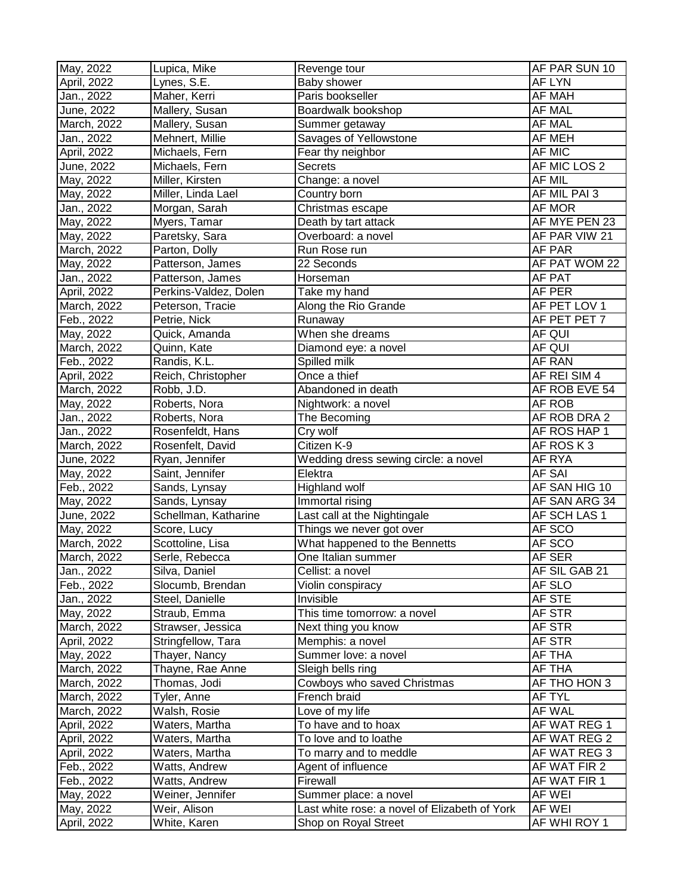| May, 2022   | Lupica, Mike          | Revenge tour                                  | AF PAR SUN 10 |
|-------------|-----------------------|-----------------------------------------------|---------------|
| April, 2022 | Lynes, S.E.           | Baby shower                                   | AF LYN        |
| Jan., 2022  | Maher, Kerri          | Paris bookseller                              | AF MAH        |
| June, 2022  | Mallery, Susan        | Boardwalk bookshop                            | AF MAL        |
| March, 2022 | Mallery, Susan        | Summer getaway                                | <b>AF MAL</b> |
| Jan., 2022  | Mehnert, Millie       | Savages of Yellowstone                        | AF MEH        |
| April, 2022 | Michaels, Fern        | Fear thy neighbor                             | AF MIC        |
| June, 2022  | Michaels, Fern        | Secrets                                       | AF MIC LOS 2  |
| May, 2022   | Miller, Kirsten       | Change: a novel                               | <b>AF MIL</b> |
| May, 2022   | Miller, Linda Lael    | Country born                                  | AF MIL PAI 3  |
| Jan., 2022  | Morgan, Sarah         | Christmas escape                              | AF MOR        |
| May, 2022   | Myers, Tamar          | Death by tart attack                          | AF MYE PEN 23 |
| May, 2022   | Paretsky, Sara        | Overboard: a novel                            | AF PAR VIW 21 |
| March, 2022 | Parton, Dolly         | Run Rose run                                  | AF PAR        |
| May, 2022   | Patterson, James      | 22 Seconds                                    | AF PAT WOM 22 |
| Jan., 2022  | Patterson, James      | Horseman                                      | AF PAT        |
| April, 2022 | Perkins-Valdez, Dolen | Take my hand                                  | AF PER        |
| March, 2022 | Peterson, Tracie      | Along the Rio Grande                          | AF PET LOV 1  |
| Feb., 2022  | Petrie, Nick          | Runaway                                       | AF PET PET 7  |
| May, 2022   | Quick, Amanda         | When she dreams                               | AF QUI        |
| March, 2022 | Quinn, Kate           | Diamond eye: a novel                          | AF QUI        |
| Feb., 2022  | Randis, K.L.          | Spilled milk                                  | AF RAN        |
| April, 2022 | Reich, Christopher    | Once a thief                                  | AF REI SIM 4  |
| March, 2022 | Robb, J.D.            | Abandoned in death                            | AF ROB EVE 54 |
| May, 2022   | Roberts, Nora         | Nightwork: a novel                            | AF ROB        |
| Jan., 2022  | Roberts, Nora         | The Becoming                                  | AF ROB DRA 2  |
| Jan., 2022  | Rosenfeldt, Hans      | Cry wolf                                      | AF ROS HAP 1  |
| March, 2022 | Rosenfelt, David      | Citizen K-9                                   | AF ROS K3     |
| June, 2022  | Ryan, Jennifer        | Wedding dress sewing circle: a novel          | AF RYA        |
| May, 2022   | Saint, Jennifer       | Elektra                                       | <b>AF SAI</b> |
| Feb., 2022  | Sands, Lynsay         | Highland wolf                                 | AF SAN HIG 10 |
| May, 2022   | Sands, Lynsay         | Immortal rising                               | AF SAN ARG 34 |
| June, 2022  | Schellman, Katharine  | Last call at the Nightingale                  | AF SCH LAS 1  |
| May, 2022   | Score, Lucy           | Things we never got over                      | AF SCO        |
| March, 2022 | Scottoline, Lisa      | What happened to the Bennetts                 | AF SCO        |
| March, 2022 | Serle, Rebecca        | One Italian summer                            | AF SER        |
| Jan., 2022  | Silva, Daniel         | Cellist: a novel                              | AF SIL GAB 21 |
| Feb., 2022  | Slocumb, Brendan      | Violin conspiracy                             | AF SLO        |
| Jan., 2022  | Steel, Danielle       | Invisible                                     | AF STE        |
| May, 2022   | Straub, Emma          | This time tomorrow: a novel                   | AF STR        |
| March, 2022 | Strawser, Jessica     | Next thing you know                           | AF STR        |
| April, 2022 | Stringfellow, Tara    | Memphis: a novel                              | AF STR        |
| May, 2022   | Thayer, Nancy         | Summer love: a novel                          | AF THA        |
| March, 2022 | Thayne, Rae Anne      | Sleigh bells ring                             | AF THA        |
| March, 2022 | Thomas, Jodi          | Cowboys who saved Christmas                   | AF THO HON 3  |
| March, 2022 | Tyler, Anne           | French braid                                  | AF TYL        |
| March, 2022 | Walsh, Rosie          | Love of my life                               | AF WAL        |
| April, 2022 | Waters, Martha        | To have and to hoax                           | AF WAT REG 1  |
| April, 2022 | Waters, Martha        | To love and to loathe                         | AF WAT REG 2  |
| April, 2022 | Waters, Martha        | To marry and to meddle                        | AF WAT REG 3  |
| Feb., 2022  | Watts, Andrew         | Agent of influence                            | AF WAT FIR 2  |
| Feb., 2022  | Watts, Andrew         | Firewall                                      | AF WAT FIR 1  |
| May, 2022   | Weiner, Jennifer      | Summer place: a novel                         | <b>AF WEI</b> |
| May, 2022   | Weir, Alison          | Last white rose: a novel of Elizabeth of York | AF WEI        |
| April, 2022 | White, Karen          | Shop on Royal Street                          | AF WHI ROY 1  |